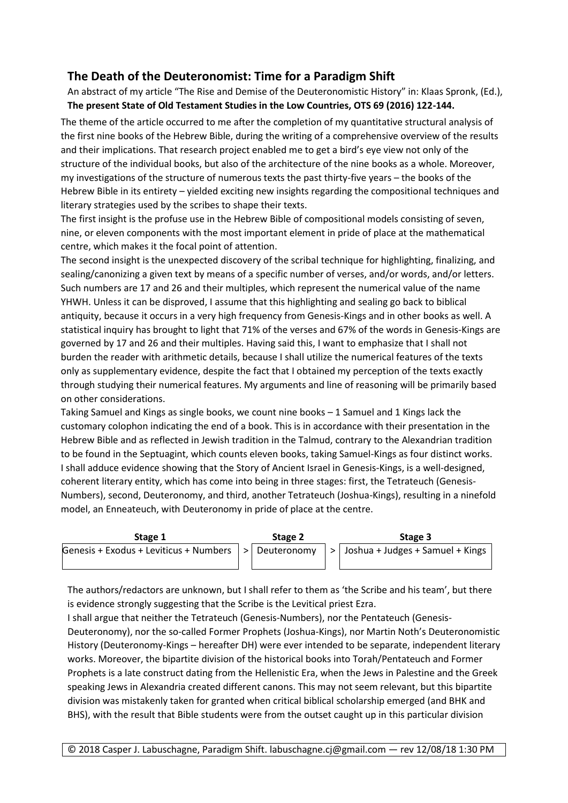## **The Death of the Deuteronomist: Time for a Paradigm Shift**

An abstract of my article "The Rise and Demise of the Deuteronomistic History" in: Klaas Spronk, (Ed.), **The present State of Old Testament Studies in the Low Countries, OTS 69 (2016) 122-144.**

The theme of the article occurred to me after the completion of my quantitative structural analysis of the first nine books of the Hebrew Bible, during the writing of a comprehensive overview of the results and their implications. That research project enabled me to get a bird's eye view not only of the structure of the individual books, but also of the architecture of the nine books as a whole. Moreover, my investigations of the structure of numerous texts the past thirty-five years – the books of the Hebrew Bible in its entirety – yielded exciting new insights regarding the compositional techniques and literary strategies used by the scribes to shape their texts.

The first insight is the profuse use in the Hebrew Bible of compositional models consisting of seven, nine, or eleven components with the most important element in pride of place at the mathematical centre, which makes it the focal point of attention.

The second insight is the unexpected discovery of the scribal technique for highlighting, finalizing, and sealing/canonizing a given text by means of a specific number of verses, and/or words, and/or letters. Such numbers are 17 and 26 and their multiples, which represent the numerical value of the name YHWH. Unless it can be disproved, I assume that this highlighting and sealing go back to biblical antiquity, because it occurs in a very high frequency from Genesis-Kings and in other books as well. A statistical inquiry has brought to light that 71% of the verses and 67% of the words in Genesis-Kings are governed by 17 and 26 and their multiples. Having said this, I want to emphasize that I shall not burden the reader with arithmetic details, because I shall utilize the numerical features of the texts only as supplementary evidence, despite the fact that I obtained my perception of the texts exactly through studying their numerical features. My arguments and line of reasoning will be primarily based on other considerations.

Taking Samuel and Kings as single books, we count nine books – 1 Samuel and 1 Kings lack the customary colophon indicating the end of a book. This is in accordance with their presentation in the Hebrew Bible and as reflected in Jewish tradition in the Talmud, contrary to the Alexandrian tradition to be found in the Septuagint, which counts eleven books, taking Samuel-Kings as four distinct works. I shall adduce evidence showing that the Story of Ancient Israel in Genesis-Kings, is a well-designed, coherent literary entity, which has come into being in three stages: first, the Tetrateuch (Genesis-Numbers), second, Deuteronomy, and third, another Tetrateuch (Joshua-Kings), resulting in a ninefold model, an Enneateuch, with Deuteronomy in pride of place at the centre.



The authors/redactors are unknown, but I shall refer to them as 'the Scribe and his team', but there is evidence strongly suggesting that the Scribe is the Levitical priest Ezra.

I shall argue that neither the Tetrateuch (Genesis-Numbers), nor the Pentateuch (Genesis-Deuteronomy), nor the so-called Former Prophets (Joshua-Kings), nor Martin Noth's Deuteronomistic History (Deuteronomy-Kings – hereafter DH) were ever intended to be separate, independent literary works. Moreover, the bipartite division of the historical books into Torah/Pentateuch and Former Prophets is a late construct dating from the Hellenistic Era, when the Jews in Palestine and the Greek speaking Jews in Alexandria created different canons. This may not seem relevant, but this bipartite division was mistakenly taken for granted when critical biblical scholarship emerged (and BHK and BHS), with the result that Bible students were from the outset caught up in this particular division

© 2018 Casper J. Labuschagne, Paradigm Shift. labuschagne.cj@gmail.com — rev 12/08/18 1:30 PM